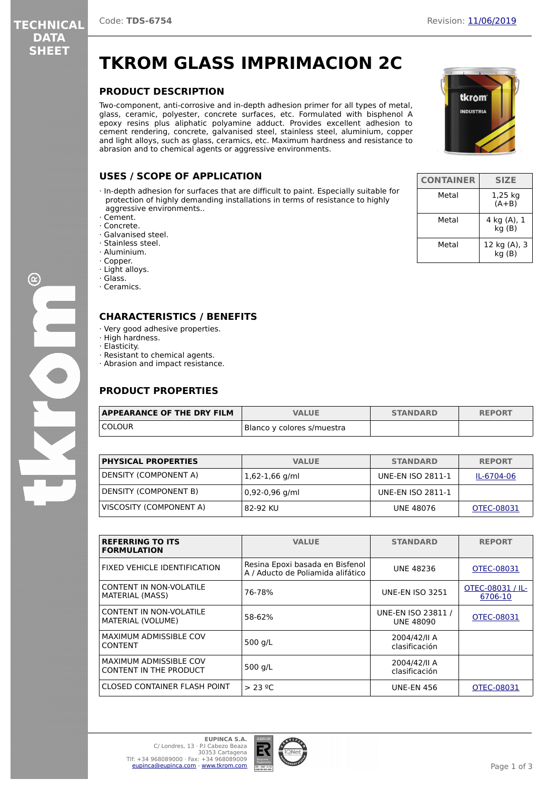tkrom

# **TKROM GLASS IMPRIMACION 2C**

### **PRODUCT DESCRIPTION**

Two-component, anti-corrosive and in-depth adhesion primer for all types of metal, glass, ceramic, polyester, concrete surfaces, etc. Formulated with bisphenol A epoxy resins plus aliphatic polyamine adduct. Provides excellent adhesion to cement rendering, concrete, galvanised steel, stainless steel, aluminium, copper and light alloys, such as glass, ceramics, etc. Maximum hardness and resistance to abrasion and to chemical agents or aggressive environments.

### **USES / SCOPE OF APPLICATION**

- · In-depth adhesion for surfaces that are difficult to paint. Especially suitable for protection of highly demanding installations in terms of resistance to highly aggressive environments..
- · Cement.
- · Concrete.
- · Galvanised steel.
- · Stainless steel. · Aluminium.
- · Copper.
- · Light alloys.
- · Glass.
- · Ceramics.
- 

### **CHARACTERISTICS / BENEFITS**

- · Very good adhesive properties.
- · High hardness.
- · Elasticity.
- · Resistant to chemical agents.
- · Abrasion and impact resistance.

### **PRODUCT PROPERTIES**

| <b>APPEARANCE OF THE DRY FILM</b> | <b>VALUE</b>               | <b>STANDARD</b> | <b>REPORT</b> |
|-----------------------------------|----------------------------|-----------------|---------------|
| COLOUR                            | Blanco y colores s/muestra |                 |               |

| <b>PHYSICAL PROPERTIES</b> | <b>VALUE</b>     | <b>STANDARD</b>          | <b>REPORT</b> |
|----------------------------|------------------|--------------------------|---------------|
| DENSITY (COMPONENT A)      | $1,62-1,66$ g/ml | <b>UNE-EN ISO 2811-1</b> | IL-6704-06    |
| DENSITY (COMPONENT B)      | 0,92-0,96 g/ml   | <b>UNE-EN ISO 2811-1</b> |               |
| VISCOSITY (COMPONENT A)    | 82-92 KU         | UNE 48076                | OTEC-08031    |

| <b>REFERRING TO ITS</b><br><b>FORMULATION</b>                  | <b>VALUE</b>                                                         | <b>STANDARD</b>                        | <b>REPORT</b>               |
|----------------------------------------------------------------|----------------------------------------------------------------------|----------------------------------------|-----------------------------|
| FIXED VEHICLE IDENTIFICATION                                   | Resina Epoxi basada en Bisfenol<br>A / Aducto de Poliamida alifático | <b>UNE 48236</b>                       | OTEC-08031                  |
| <b>CONTENT IN NON-VOLATILE</b><br>MATERIAL (MASS)              | 76-78%                                                               | <b>UNE-EN ISO 3251</b>                 | OTEC-08031 / IL-<br>6706-10 |
| CONTENT IN NON-VOLATILE<br>MATERIAL (VOLUME)                   | 58-62%                                                               | UNE-EN ISO 23811 /<br><b>UNE 48090</b> | OTEC-08031                  |
| <b>MAXIMUM ADMISSIBLE COV</b><br><b>CONTENT</b>                | 500 g/L                                                              | 2004/42/II A<br>clasificación          |                             |
| <b>MAXIMUM ADMISSIBLE COV</b><br><b>CONTENT IN THE PRODUCT</b> | 500 g/L                                                              | 2004/42/II A<br>clasificación          |                             |
| CLOSED CONTAINER FLASH POINT                                   | > 23 °C                                                              | <b>UNE-EN 456</b>                      | OTEC-08031                  |



| <b>CONTAINER</b> | <b>SIZE</b>           |
|------------------|-----------------------|
| Metal            | 1,25 kg<br>$(A+B)$    |
| Metal            | 4 kg (A), 1<br>kg(B)  |
| Metal            | 12 kg (A), 3<br>kg(B) |

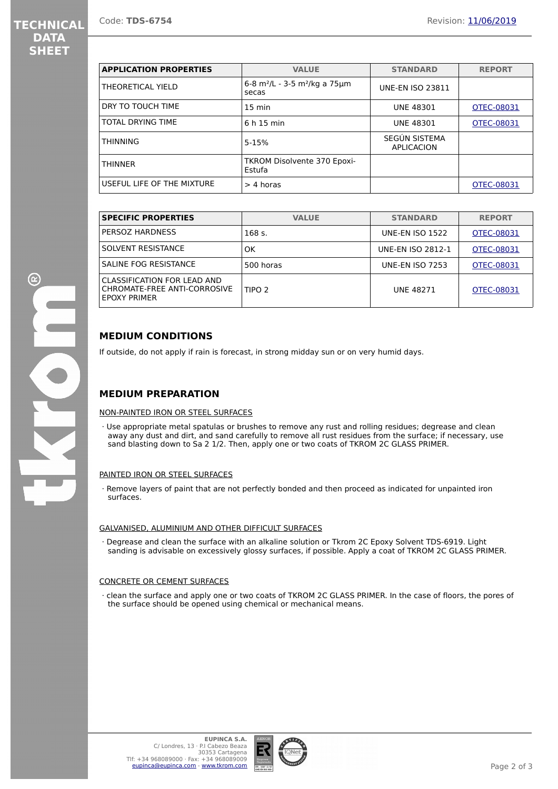# **TECHNICAL DATA SHEET**

| <b>APPLICATION PROPERTIES</b> | <b>VALUE</b>                                                    | <b>STANDARD</b>             | <b>REPORT</b> |
|-------------------------------|-----------------------------------------------------------------|-----------------------------|---------------|
| THEORETICAL YIELD             | 6-8 m <sup>2</sup> /L - 3-5 m <sup>2</sup> /kg a 75 µm<br>secas | <b>UNE-EN ISO 23811</b>     |               |
| DRY TO TOUCH TIME             | $15 \text{ min}$                                                | <b>UNE 48301</b>            | OTEC-08031    |
| TOTAL DRYING TIME             | 6 h 15 min                                                      | <b>UNE 48301</b>            | OTEC-08031    |
| <b>THINNING</b>               | $5 - 15%$                                                       | SEGÚN SISTEMA<br>APLICACION |               |
| <b>THINNER</b>                | <b>TKROM Disolvente 370 Epoxi-</b><br>Estufa                    |                             |               |
| USEFUL LIFE OF THE MIXTURE    | $>$ 4 horas                                                     |                             | OTEC-08031    |

| <b>SPECIFIC PROPERTIES</b>                                                         | <b>VALUE</b>      | <b>STANDARD</b>          | <b>REPORT</b> |
|------------------------------------------------------------------------------------|-------------------|--------------------------|---------------|
| PERSOZ HARDNESS                                                                    | 168 s.            | <b>UNE-EN ISO 1522</b>   | OTEC-08031    |
| SOLVENT RESISTANCE                                                                 | OK                | <b>UNE-EN ISO 2812-1</b> | OTEC-08031    |
| SALINE FOG RESISTANCE                                                              | 500 horas         | <b>UNE-EN ISO 7253</b>   | OTEC-08031    |
| CLASSIFICATION FOR LEAD AND<br>CHROMATE-FREE ANTI-CORROSIVE<br><b>FPOXY PRIMER</b> | TIPO <sub>2</sub> | <b>UNF 48271</b>         | OTEC-08031    |

### **MEDIUM CONDITIONS**

If outside, do not apply if rain is forecast, in strong midday sun or on very humid days.

### **MEDIUM PREPARATION**

#### NON-PAINTED IRON OR STEEL SURFACES

· Use appropriate metal spatulas or brushes to remove any rust and rolling residues; degrease and clean away any dust and dirt, and sand carefully to remove all rust residues from the surface; if necessary, use sand blasting down to Sa 2 1/2. Then, apply one or two coats of TKROM 2C GLASS PRIMER.

#### PAINTED IRON OR STEEL SURFACES

Remove layers of paint that are not perfectly bonded and then proceed as indicated for unpainted iron surfaces.

#### GALVANISED, ALUMINIUM AND OTHER DIFFICULT SURFACES

· Degrease and clean the surface with an alkaline solution or Tkrom 2C Epoxy Solvent TDS-6919. Light sanding is advisable on excessively glossy surfaces, if possible. Apply a coat of TKROM 2C GLASS PRIMER.

#### CONCRETE OR CEMENT SURFACES

· clean the surface and apply one or two coats of TKROM 2C GLASS PRIMER. In the case of floors, the pores of the surface should be opened using chemical or mechanical means.

 $\mathbf{C}$